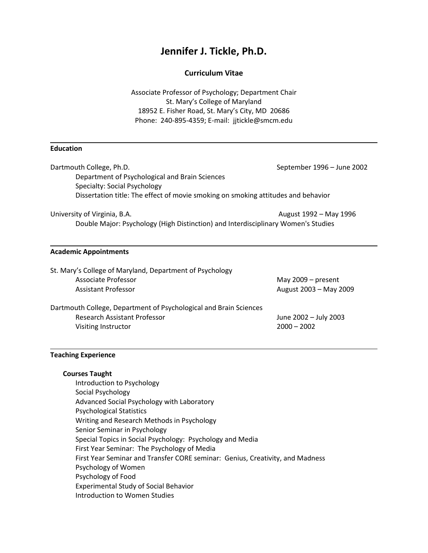# **Jennifer J. Tickle, Ph.D.**

# **Curriculum Vitae**

Associate Professor of Psychology; Department Chair St. Mary's College of Maryland 18952 E. Fisher Road, St. Mary's City, MD 20686 Phone: 240-895-4359; E-mail: jjtickle@smcm.edu

### **Education**

| Dartmouth College, Ph.D.                                                          | September 1996 - June 2002 |
|-----------------------------------------------------------------------------------|----------------------------|
| Department of Psychological and Brain Sciences                                    |                            |
| Specialty: Social Psychology                                                      |                            |
| Dissertation title: The effect of movie smoking on smoking attitudes and behavior |                            |
| University of Virginia, B.A.                                                      | August 1992 - May 1996     |

Double Major: Psychology (High Distinction) and Interdisciplinary Women's Studies

# **Academic Appointments**

| St. Mary's College of Maryland, Department of Psychology          |                        |  |
|-------------------------------------------------------------------|------------------------|--|
| Associate Professor                                               | May $2009 -$ present   |  |
| <b>Assistant Professor</b>                                        | August 2003 - May 2009 |  |
| Dartmouth College, Department of Psychological and Brain Sciences |                        |  |
| <b>Research Assistant Professor</b>                               | June 2002 - July 2003  |  |
| Visiting Instructor                                               | $2000 - 2002$          |  |

# **Teaching Experience**

# **Courses Taught**

Introduction to Psychology Social Psychology Advanced Social Psychology with Laboratory Psychological Statistics Writing and Research Methods in Psychology Senior Seminar in Psychology Special Topics in Social Psychology: Psychology and Media First Year Seminar: The Psychology of Media First Year Seminar and Transfer CORE seminar: Genius, Creativity, and Madness Psychology of Women Psychology of Food Experimental Study of Social Behavior Introduction to Women Studies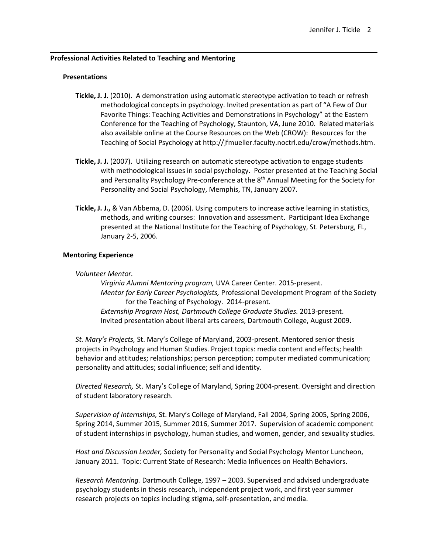## **Professional Activities Related to Teaching and Mentoring**

#### **Presentations**

- **Tickle, J. J.** (2010). A demonstration using automatic stereotype activation to teach or refresh methodological concepts in psychology. Invited presentation as part of "A Few of Our Favorite Things: Teaching Activities and Demonstrations in Psychology" at the Eastern Conference for the Teaching of Psychology, Staunton, VA, June 2010. Related materials also available online at the Course Resources on the Web (CROW): Resources for the Teaching of Social Psychology at http://jfmueller.faculty.noctrl.edu/crow/methods.htm.
- **Tickle, J. J.** (2007). Utilizing research on automatic stereotype activation to engage students with methodological issues in social psychology. Poster presented at the Teaching Social and Personality Psychology Pre-conference at the 8<sup>th</sup> Annual Meeting for the Society for Personality and Social Psychology, Memphis, TN, January 2007.
- **Tickle, J. J.,** & Van Abbema, D. (2006). Using computers to increase active learning in statistics, methods, and writing courses: Innovation and assessment. Participant Idea Exchange presented at the National Institute for the Teaching of Psychology, St. Petersburg, FL, January 2-5, 2006.

### **Mentoring Experience**

#### *Volunteer Mentor.*

*Virginia Alumni Mentoring program,* UVA Career Center. 2015-present. *Mentor for Early Career Psychologists,* Professional Development Program of the Society for the Teaching of Psychology. 2014-present. *Externship Program Host, Dartmouth College Graduate Studies.* 2013-present. Invited presentation about liberal arts careers, Dartmouth College, August 2009.

*St. Mary's Projects,* St. Mary's College of Maryland, 2003-present. Mentored senior thesis projects in Psychology and Human Studies. Project topics: media content and effects; health behavior and attitudes; relationships; person perception; computer mediated communication; personality and attitudes; social influence; self and identity.

*Directed Research,* St. Mary's College of Maryland, Spring 2004-present. Oversight and direction of student laboratory research.

*Supervision of Internships,* St. Mary's College of Maryland, Fall 2004, Spring 2005, Spring 2006, Spring 2014, Summer 2015, Summer 2016, Summer 2017. Supervision of academic component of student internships in psychology, human studies, and women, gender, and sexuality studies.

*Host and Discussion Leader,* Society for Personality and Social Psychology Mentor Luncheon, January 2011. Topic: Current State of Research: Media Influences on Health Behaviors.

*Research Mentoring.* Dartmouth College, 1997 – 2003. Supervised and advised undergraduate psychology students in thesis research, independent project work, and first year summer research projects on topics including stigma, self-presentation, and media.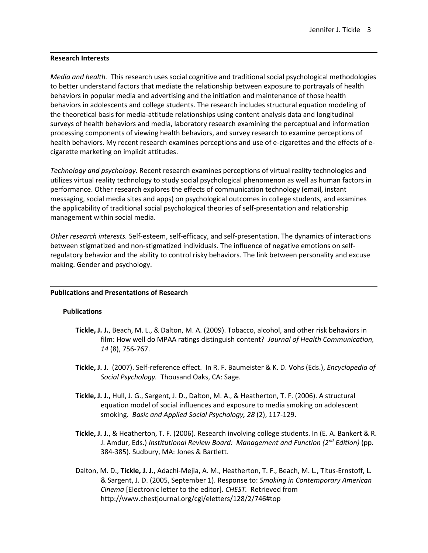## **Research Interests**

*Media and health.* This research uses social cognitive and traditional social psychological methodologies to better understand factors that mediate the relationship between exposure to portrayals of health behaviors in popular media and advertising and the initiation and maintenance of those health behaviors in adolescents and college students. The research includes structural equation modeling of the theoretical basis for media-attitude relationships using content analysis data and longitudinal surveys of health behaviors and media, laboratory research examining the perceptual and information processing components of viewing health behaviors, and survey research to examine perceptions of health behaviors. My recent research examines perceptions and use of e-cigarettes and the effects of ecigarette marketing on implicit attitudes.

*Technology and psychology.* Recent research examines perceptions of virtual reality technologies and utilizes virtual reality technology to study social psychological phenomenon as well as human factors in performance. Other research explores the effects of communication technology (email, instant messaging, social media sites and apps) on psychological outcomes in college students, and examines the applicability of traditional social psychological theories of self-presentation and relationship management within social media.

*Other research interests.* Self-esteem, self-efficacy, and self-presentation. The dynamics of interactions between stigmatized and non-stigmatized individuals. The influence of negative emotions on selfregulatory behavior and the ability to control risky behaviors. The link between personality and excuse making. Gender and psychology.

### **Publications and Presentations of Research**

### **Publications**

- **Tickle, J. J.**, Beach, M. L., & Dalton, M. A. (2009). Tobacco, alcohol, and other risk behaviors in film: How well do MPAA ratings distinguish content? *Journal of Health Communication, 14* (8), 756-767.
- **Tickle, J. J.** (2007). Self-reference effect. In R. F. Baumeister & K. D. Vohs (Eds.), *Encyclopedia of Social Psychology.* Thousand Oaks, CA: Sage.
- **Tickle, J. J.,** Hull, J. G., Sargent, J. D., Dalton, M. A., & Heatherton, T. F. (2006). A structural equation model of social influences and exposure to media smoking on adolescent smoking. *Basic and Applied Social Psychology, 28* (2), 117-129.
- **Tickle, J. J.**, & Heatherton, T. F. (2006). Research involving college students. In (E. A. Bankert & R. J. Amdur, Eds.) *Institutional Review Board: Management and Function (2nd Edition)* (pp. 384-385)*.* Sudbury, MA: Jones & Bartlett.
- Dalton, M. D., **Tickle, J. J.**, Adachi-Mejia, A. M., Heatherton, T. F., Beach, M. L., Titus-Ernstoff, L. & Sargent, J. D. (2005, September 1). Response to: *Smoking in Contemporary American Cinema* [Electronic letter to the editor]. *CHEST.* Retrieved from http://www.chestjournal.org/cgi/eletters/128/2/746#top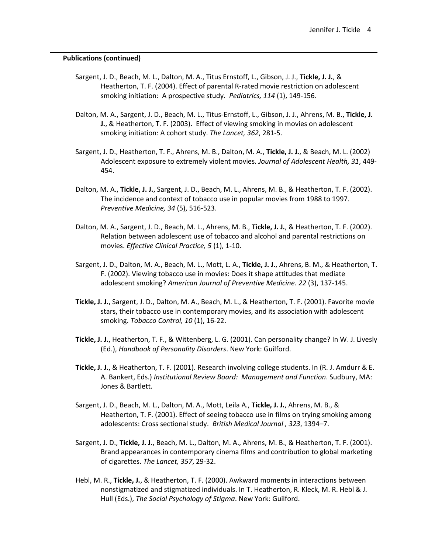#### **Publications (continued)**

- Sargent, J. D., Beach, M. L., Dalton, M. A., Titus Ernstoff, L., Gibson, J. J., **Tickle, J. J.**, & Heatherton, T. F. (2004). Effect of parental R-rated movie restriction on adolescent smoking initiation: A prospective study. *Pediatrics, 114* (1), 149-156.
- Dalton, M. A., Sargent, J. D., Beach, M. L., Titus-Ernstoff, L., Gibson, J. J., Ahrens, M. B., **Tickle, J. J.**, & Heatherton, T. F. (2003). Effect of viewing smoking in movies on adolescent smoking initiation: A cohort study. *The Lancet, 362*, 281-5.
- Sargent, J. D., Heatherton, T. F., Ahrens, M. B., Dalton, M. A., **Tickle, J. J.**, & Beach, M. L. (2002) Adolescent exposure to extremely violent movies. *Journal of Adolescent Health, 31*, 449- 454.
- Dalton, M. A., **Tickle, J. J.**, Sargent, J. D., Beach, M. L., Ahrens, M. B., & Heatherton, T. F. (2002). The incidence and context of tobacco use in popular movies from 1988 to 1997. *Preventive Medicine, 34* (5), 516-523.
- Dalton, M. A., Sargent, J. D., Beach, M. L., Ahrens, M. B., **Tickle, J. J.**, & Heatherton, T. F. (2002). Relation between adolescent use of tobacco and alcohol and parental restrictions on movies. *Effective Clinical Practice, 5* (1), 1-10.
- Sargent, J. D., Dalton, M. A., Beach, M. L., Mott, L. A., **Tickle, J. J.**, Ahrens, B. M., & Heatherton, T. F. (2002). Viewing tobacco use in movies: Does it shape attitudes that mediate adolescent smoking? *American Journal of Preventive Medicine. 22* (3), 137-145.
- **Tickle, J. J.**, Sargent, J. D., Dalton, M. A., Beach, M. L., & Heatherton, T. F. (2001). Favorite movie stars, their tobacco use in contemporary movies, and its association with adolescent smoking. *Tobacco Control, 10* (1), 16-22.
- **Tickle, J. J.**, Heatherton, T. F., & Wittenberg, L. G. (2001). Can personality change? In W. J. Livesly (Ed.), *Handbook of Personality Disorders*. New York: Guilford.
- **Tickle, J. J.**, & Heatherton, T. F. (2001). Research involving college students. In (R. J. Amdurr & E. A. Bankert, Eds.) *Institutional Review Board: Management and Function*. Sudbury, MA: Jones & Bartlett.
- Sargent, J. D., Beach, M. L., Dalton, M. A., Mott, Leila A., **Tickle, J. J.**, Ahrens, M. B., & Heatherton, T. F. (2001). Effect of seeing tobacco use in films on trying smoking among adolescents: Cross sectional study. *British Medical Journal , 323*, 1394–7.
- Sargent, J. D., **Tickle, J. J.**, Beach, M. L., Dalton, M. A., Ahrens, M. B., & Heatherton, T. F. (2001). Brand appearances in contemporary cinema films and contribution to global marketing of cigarettes. *The Lancet, 357*, 29-32.
- Hebl, M. R., **Tickle, J.**, & Heatherton, T. F. (2000). Awkward moments in interactions between nonstigmatized and stigmatized individuals. In T. Heatherton, R. Kleck, M. R. Hebl & J. Hull (Eds.), *The Social Psychology of Stigma*. New York: Guilford.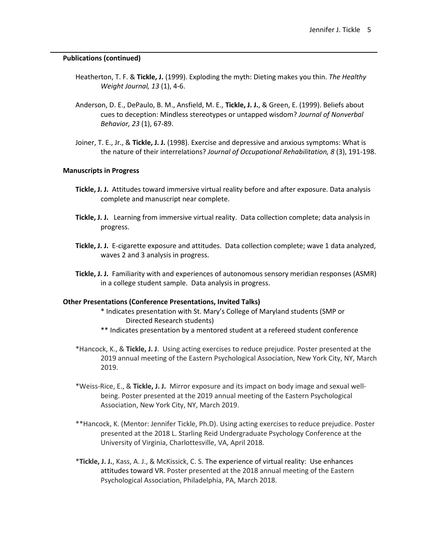#### **Publications (continued)**

- Heatherton, T. F. & **Tickle, J.** (1999). Exploding the myth: Dieting makes you thin. *The Healthy Weight Journal, 13* (1), 4-6.
- Anderson, D. E., DePaulo, B. M., Ansfield, M. E., **Tickle, J. J.**, & Green, E. (1999). Beliefs about cues to deception: Mindless stereotypes or untapped wisdom? *Journal of Nonverbal Behavior, 23* (1), 67-89.
- Joiner, T. E., Jr., & **Tickle, J. J.** (1998). Exercise and depressive and anxious symptoms: What is the nature of their interrelations? *Journal of Occupational Rehabilitation, 8* (3), 191-198.

#### **Manuscripts in Progress**

- **Tickle, J. J.** Attitudes toward immersive virtual reality before and after exposure. Data analysis complete and manuscript near complete.
- **Tickle, J. J.** Learning from immersive virtual reality. Data collection complete; data analysis in progress.
- **Tickle, J. J.** E-cigarette exposure and attitudes. Data collection complete; wave 1 data analyzed, waves 2 and 3 analysis in progress.
- **Tickle, J. J.** Familiarity with and experiences of autonomous sensory meridian responses (ASMR) in a college student sample. Data analysis in progress.

#### **Other Presentations (Conference Presentations, Invited Talks)**

- \* Indicates presentation with St. Mary's College of Maryland students (SMP or Directed Research students)
- \*\* Indicates presentation by a mentored student at a refereed student conference
- \*Hancock, K., & **Tickle, J. J**. Using acting exercises to reduce prejudice. Poster presented at the 2019 annual meeting of the Eastern Psychological Association, New York City, NY, March 2019.
- \*Weiss-Rice, E., & **Tickle, J. J.** Mirror exposure and its impact on body image and sexual wellbeing. Poster presented at the 2019 annual meeting of the Eastern Psychological Association, New York City, NY, March 2019.
- \*\*Hancock, K. (Mentor: Jennifer Tickle, Ph.D). Using acting exercises to reduce prejudice. Poster presented at the 2018 L. Starling Reid Undergraduate Psychology Conference at the University of Virginia, Charlottesville, VA, April 2018.
- \***Tickle, J. J.**, Kass, A. J., & McKissick, C. S. The experience of virtual reality: Use enhances attitudes toward VR. Poster presented at the 2018 annual meeting of the Eastern Psychological Association, Philadelphia, PA, March 2018.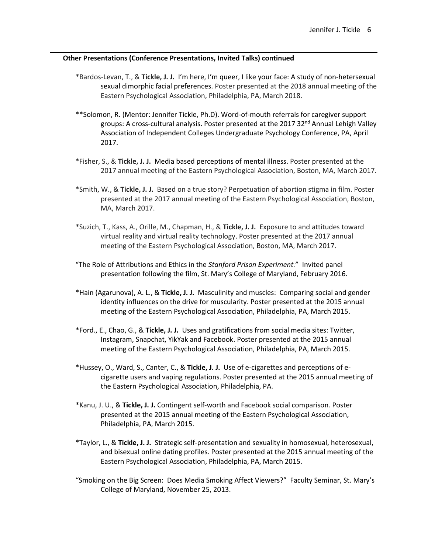- \*Bardos-Levan, T., & **Tickle, J. J.** I'm here, I'm queer, I like your face: A study of non-hetersexual sexual dimorphic facial preferences. Poster presented at the 2018 annual meeting of the Eastern Psychological Association, Philadelphia, PA, March 2018.
- \*\*Solomon, R. (Mentor: Jennifer Tickle, Ph.D). Word-of-mouth referrals for caregiver support groups: A cross-cultural analysis. Poster presented at the 2017 32<sup>nd</sup> Annual Lehigh Valley Association of Independent Colleges Undergraduate Psychology Conference, PA, April 2017.
- \*Fisher, S., & **Tickle, J. J.** Media based perceptions of mental illness. Poster presented at the 2017 annual meeting of the Eastern Psychological Association, Boston, MA, March 2017.
- \*Smith, W., & **Tickle, J. J.** Based on a true story? Perpetuation of abortion stigma in film. Poster presented at the 2017 annual meeting of the Eastern Psychological Association, Boston, MA, March 2017.
- \*Suzich, T., Kass, A., Orille, M., Chapman, H., & **Tickle, J. J.** Exposure to and attitudes toward virtual reality and virtual reality technology. Poster presented at the 2017 annual meeting of the Eastern Psychological Association, Boston, MA, March 2017.
- "The Role of Attributions and Ethics in the *Stanford Prison Experiment.*" Invited panel presentation following the film, St. Mary's College of Maryland, February 2016.
- \*Hain (Agarunova), A. L., & **Tickle, J. J.** Masculinity and muscles: Comparing social and gender identity influences on the drive for muscularity. Poster presented at the 2015 annual meeting of the Eastern Psychological Association, Philadelphia, PA, March 2015.
- \*Ford., E., Chao, G., & **Tickle, J. J.** Uses and gratifications from social media sites: Twitter, Instagram, Snapchat, YikYak and Facebook. Poster presented at the 2015 annual meeting of the Eastern Psychological Association, Philadelphia, PA, March 2015.
- \*Hussey, O., Ward, S., Canter, C., & **Tickle, J. J.** Use of e-cigarettes and perceptions of ecigarette users and vaping regulations. Poster presented at the 2015 annual meeting of the Eastern Psychological Association, Philadelphia, PA.
- \*Kanu, J. U., & **Tickle, J. J.** Contingent self-worth and Facebook social comparison. Poster presented at the 2015 annual meeting of the Eastern Psychological Association, Philadelphia, PA, March 2015.
- \*Taylor, L., & **Tickle, J. J.** Strategic self-presentation and sexuality in homosexual, heterosexual, and bisexual online dating profiles. Poster presented at the 2015 annual meeting of the Eastern Psychological Association, Philadelphia, PA, March 2015.
- "Smoking on the Big Screen: Does Media Smoking Affect Viewers?" Faculty Seminar, St. Mary's College of Maryland, November 25, 2013.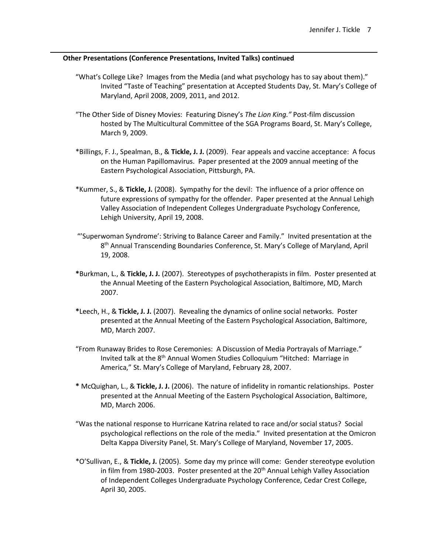- "What's College Like? Images from the Media (and what psychology has to say about them)." Invited "Taste of Teaching" presentation at Accepted Students Day, St. Mary's College of Maryland, April 2008, 2009, 2011, and 2012.
- "The Other Side of Disney Movies: Featuring Disney's *The Lion King."* Post-film discussion hosted by The Multicultural Committee of the SGA Programs Board, St. Mary's College, March 9, 2009.
- \*Billings, F. J., Spealman, B., & **Tickle, J. J.** (2009). Fear appeals and vaccine acceptance: A focus on the Human Papillomavirus. Paper presented at the 2009 annual meeting of the Eastern Psychological Association, Pittsburgh, PA.
- \*Kummer, S., & **Tickle, J.** (2008). Sympathy for the devil: The influence of a prior offence on future expressions of sympathy for the offender. Paper presented at the Annual Lehigh Valley Association of Independent Colleges Undergraduate Psychology Conference, Lehigh University, April 19, 2008.
- "'Superwoman Syndrome': Striving to Balance Career and Family." Invited presentation at the 8<sup>th</sup> Annual Transcending Boundaries Conference, St. Mary's College of Maryland, April 19, 2008.
- **\***Burkman, L., & **Tickle, J. J.** (2007). Stereotypes of psychotherapists in film. Poster presented at the Annual Meeting of the Eastern Psychological Association, Baltimore, MD, March 2007.
- **\***Leech, H., & **Tickle, J. J.** (2007). Revealing the dynamics of online social networks. Poster presented at the Annual Meeting of the Eastern Psychological Association, Baltimore, MD, March 2007.
- "From Runaway Brides to Rose Ceremonies: A Discussion of Media Portrayals of Marriage." Invited talk at the 8<sup>th</sup> Annual Women Studies Colloquium "Hitched: Marriage in America," St. Mary's College of Maryland, February 28, 2007.
- **\*** McQuighan, L., & **Tickle, J. J.** (2006). The nature of infidelity in romantic relationships. Poster presented at the Annual Meeting of the Eastern Psychological Association, Baltimore, MD, March 2006.
- "Was the national response to Hurricane Katrina related to race and/or social status? Social psychological reflections on the role of the media." Invited presentation at the Omicron Delta Kappa Diversity Panel, St. Mary's College of Maryland, November 17, 2005.
- \*O'Sullivan, E., & **Tickle, J.** (2005). Some day my prince will come: Gender stereotype evolution in film from 1980-2003. Poster presented at the 20<sup>th</sup> Annual Lehigh Valley Association of Independent Colleges Undergraduate Psychology Conference, Cedar Crest College, April 30, 2005.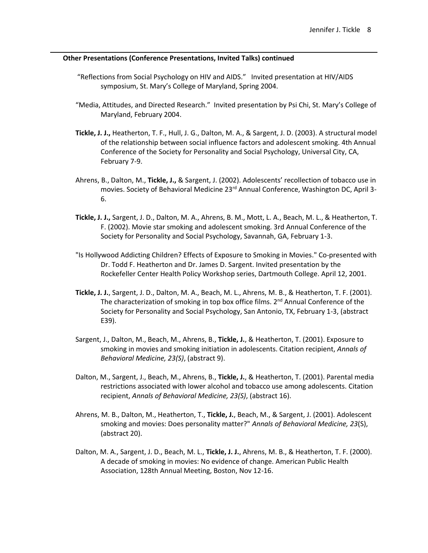- "Reflections from Social Psychology on HIV and AIDS." Invited presentation at HIV/AIDS symposium, St. Mary's College of Maryland, Spring 2004.
- "Media, Attitudes, and Directed Research." Invited presentation by Psi Chi, St. Mary's College of Maryland, February 2004.
- **Tickle, J. J.,** Heatherton, T. F., Hull, J. G., Dalton, M. A., & Sargent, J. D. (2003). A structural model of the relationship between social influence factors and adolescent smoking. 4th Annual Conference of the Society for Personality and Social Psychology, Universal City, CA, February 7-9.
- Ahrens, B., Dalton, M., **Tickle, J.,** & Sargent, J. (2002). Adolescents' recollection of tobacco use in movies. Society of Behavioral Medicine 23rd Annual Conference, Washington DC, April 3- 6.
- **Tickle, J. J.,** Sargent, J. D., Dalton, M. A., Ahrens, B. M., Mott, L. A., Beach, M. L., & Heatherton, T. F. (2002). Movie star smoking and adolescent smoking. 3rd Annual Conference of the Society for Personality and Social Psychology, Savannah, GA, February 1-3.
- "Is Hollywood Addicting Children? Effects of Exposure to Smoking in Movies." Co-presented with Dr. Todd F. Heatherton and Dr. James D. Sargent. Invited presentation by the Rockefeller Center Health Policy Workshop series, Dartmouth College. April 12, 2001.
- **Tickle, J. J.**, Sargent, J. D., Dalton, M. A., Beach, M. L., Ahrens, M. B., & Heatherton, T. F. (2001). The characterization of smoking in top box office films.  $2<sup>nd</sup>$  Annual Conference of the Society for Personality and Social Psychology, San Antonio, TX, February 1-3, (abstract E39).
- Sargent, J., Dalton, M., Beach, M., Ahrens, B., **Tickle, J.**, & Heatherton, T. (2001). Exposure to smoking in movies and smoking initiation in adolescents. Citation recipient, *Annals of Behavioral Medicine, 23(S)*, (abstract 9).
- Dalton, M., Sargent, J., Beach, M., Ahrens, B., **Tickle, J.**, & Heatherton, T. (2001). Parental media restrictions associated with lower alcohol and tobacco use among adolescents. Citation recipient, *Annals of Behavioral Medicine, 23(S)*, (abstract 16).
- Ahrens, M. B., Dalton, M., Heatherton, T., **Tickle, J.**, Beach, M., & Sargent, J. (2001). Adolescent smoking and movies: Does personality matter?" *Annals of Behavioral Medicine, 23*(S), (abstract 20).
- Dalton, M. A., Sargent, J. D., Beach, M. L., **Tickle, J. J.**, Ahrens, M. B., & Heatherton, T. F. (2000). A decade of smoking in movies: No evidence of change. American Public Health Association, 128th Annual Meeting, Boston, Nov 12-16.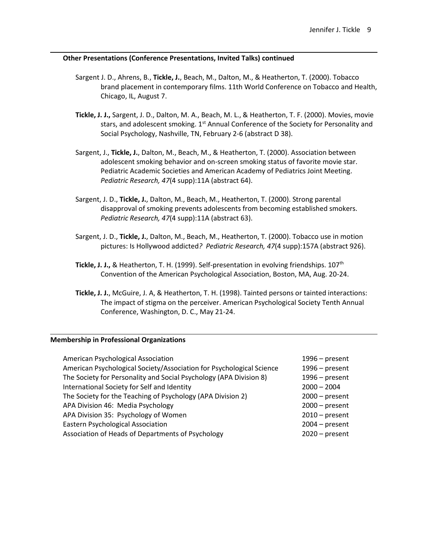- Sargent J. D., Ahrens, B., **Tickle, J.**, Beach, M., Dalton, M., & Heatherton, T. (2000). Tobacco brand placement in contemporary films. 11th World Conference on Tobacco and Health, Chicago, IL, August 7.
- **Tickle, J. J.,** Sargent, J. D., Dalton, M. A., Beach, M. L., & Heatherton, T. F. (2000). Movies, movie stars, and adolescent smoking. 1<sup>st</sup> Annual Conference of the Society for Personality and Social Psychology, Nashville, TN, February 2-6 (abstract D 38).
- Sargent, J., **Tickle, J.**, Dalton, M., Beach, M., & Heatherton, T. (2000). Association between adolescent smoking behavior and on-screen smoking status of favorite movie star. Pediatric Academic Societies and American Academy of Pediatrics Joint Meeting. *Pediatric Research, 47*(4 supp):11A (abstract 64).
- Sargent, J. D., **Tickle, J.**, Dalton, M., Beach, M., Heatherton, T. (2000). Strong parental disapproval of smoking prevents adolescents from becoming established smokers. *Pediatric Research, 47*(4 supp):11A (abstract 63).
- Sargent, J. D., **Tickle, J.**, Dalton, M., Beach, M., Heatherton, T. (2000). Tobacco use in motion pictures: Is Hollywood addicted*? Pediatric Research, 47*(4 supp):157A (abstract 926).
- **Tickle, J. J.,** & Heatherton, T. H. (1999). Self-presentation in evolving friendships. 107th Convention of the American Psychological Association, Boston, MA, Aug. 20-24.
- **Tickle, J. J.**, McGuire, J. A, & Heatherton, T. H. (1998). Tainted persons or tainted interactions: The impact of stigma on the perceiver. American Psychological Society Tenth Annual Conference, Washington, D. C., May 21-24.

### **Membership in Professional Organizations**

| American Psychological Association                                   | $1996$ – present |
|----------------------------------------------------------------------|------------------|
| American Psychological Society/Association for Psychological Science | $1996$ – present |
| The Society for Personality and Social Psychology (APA Division 8)   | $1996$ – present |
| International Society for Self and Identity                          | $2000 - 2004$    |
| The Society for the Teaching of Psychology (APA Division 2)          | $2000 - present$ |
| APA Division 46: Media Psychology                                    | $2000 - present$ |
| APA Division 35: Psychology of Women                                 | $2010$ – present |
| <b>Eastern Psychological Association</b>                             | $2004 - present$ |
| Association of Heads of Departments of Psychology                    | $2020$ – present |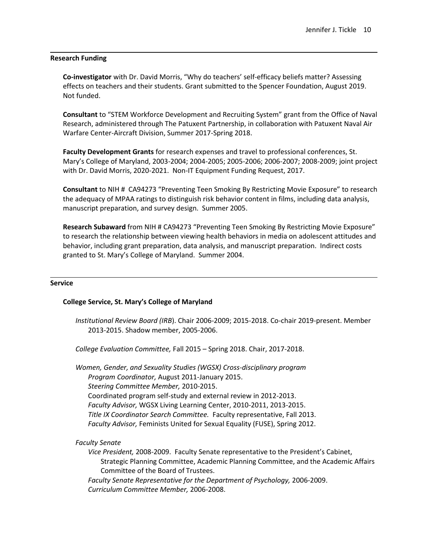#### **Research Funding**

**Co-investigator** with Dr. David Morris, "Why do teachers' self-efficacy beliefs matter? Assessing effects on teachers and their students. Grant submitted to the Spencer Foundation, August 2019. Not funded.

**Consultant** to "STEM Workforce Development and Recruiting System" grant from the Office of Naval Research, administered through The Patuxent Partnership, in collaboration with Patuxent Naval Air Warfare Center-Aircraft Division, Summer 2017-Spring 2018.

**Faculty Development Grants** for research expenses and travel to professional conferences, St. Mary's College of Maryland, 2003-2004; 2004-2005; 2005-2006; 2006-2007; 2008-2009; joint project with Dr. David Morris, 2020-2021. Non-IT Equipment Funding Request, 2017.

**Consultant** to NIH # CA94273 "Preventing Teen Smoking By Restricting Movie Exposure" to research the adequacy of MPAA ratings to distinguish risk behavior content in films, including data analysis, manuscript preparation, and survey design. Summer 2005.

**Research Subaward** from NIH # CA94273 "Preventing Teen Smoking By Restricting Movie Exposure" to research the relationship between viewing health behaviors in media on adolescent attitudes and behavior, including grant preparation, data analysis, and manuscript preparation. Indirect costs granted to St. Mary's College of Maryland. Summer 2004.

#### **Service**

### **College Service, St. Mary's College of Maryland**

*Institutional Review Board (IRB*). Chair 2006-2009; 2015-2018. Co-chair 2019-present. Member 2013-2015. Shadow member, 2005-2006.

*College Evaluation Committee,* Fall 2015 – Spring 2018. Chair, 2017-2018.

*Women, Gender, and Sexuality Studies (WGSX) Cross-disciplinary program Program Coordinator,* August 2011-January 2015. *Steering Committee Member,* 2010-2015. Coordinated program self-study and external review in 2012-2013. *Faculty Advisor,* WGSX Living Learning Center, 2010-2011, 2013-2015. *Title IX Coordinator Search Committee.* Faculty representative, Fall 2013. *Faculty Advisor,* Feminists United for Sexual Equality (FUSE), Spring 2012.

### *Faculty Senate*

*Vice President,* 2008-2009. Faculty Senate representative to the President's Cabinet, Strategic Planning Committee, Academic Planning Committee, and the Academic Affairs Committee of the Board of Trustees.

*Faculty Senate Representative for the Department of Psychology,* 2006-2009. *Curriculum Committee Member,* 2006-2008.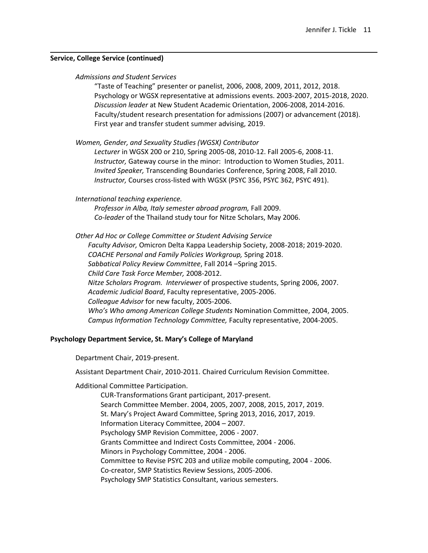#### **Service, College Service (continued)**

#### *Admissions and Student Services*

"Taste of Teaching" presenter or panelist, 2006, 2008, 2009, 2011, 2012, 2018. Psychology or WGSX representative at admissions events. 2003-2007, 2015-2018, 2020. *Discussion leader* at New Student Academic Orientation, 2006-2008, 2014-2016. Faculty/student research presentation for admissions (2007) or advancement (2018). First year and transfer student summer advising, 2019.

*Women, Gender, and Sexuality Studies (WGSX) Contributor*

*Lecturer* in WGSX 200 or 210, Spring 2005-08, 2010-12. Fall 2005-6, 2008-11. *Instructor,* Gateway course in the minor: Introduction to Women Studies, 2011. *Invited Speaker,* Transcending Boundaries Conference, Spring 2008, Fall 2010. *Instructor,* Courses cross-listed with WGSX (PSYC 356, PSYC 362, PSYC 491).

*International teaching experience.*

*Professor in Alba, Italy semester abroad program,* Fall 2009. *Co-leader* of the Thailand study tour for Nitze Scholars, May 2006.

*Other Ad Hoc or College Committee or Student Advising Service Faculty Advisor,* Omicron Delta Kappa Leadership Society, 2008-2018; 2019-2020. *COACHE Personal and Family Policies Workgroup,* Spring 2018. *Sabbatical Policy Review Committee*, Fall 2014 –Spring 2015. *Child Care Task Force Member,* 2008-2012. *Nitze Scholars Program. Interviewer* of prospective students, Spring 2006, 2007. *Academic Judicial Board*, Faculty representative, 2005-2006. *Colleague Advisor* for new faculty, 2005-2006. *Who's Who among American College Students* Nomination Committee, 2004, 2005. *Campus Information Technology Committee,* Faculty representative, 2004-2005.

### **Psychology Department Service, St. Mary's College of Maryland**

Department Chair, 2019-present.

Assistant Department Chair, 2010-2011. Chaired Curriculum Revision Committee.

Additional Committee Participation.

CUR-Transformations Grant participant, 2017-present. Search Committee Member. 2004, 2005, 2007, 2008, 2015, 2017, 2019. St. Mary's Project Award Committee, Spring 2013, 2016, 2017, 2019. Information Literacy Committee, 2004 – 2007. Psychology SMP Revision Committee, 2006 - 2007. Grants Committee and Indirect Costs Committee, 2004 - 2006. Minors in Psychology Committee, 2004 - 2006. Committee to Revise PSYC 203 and utilize mobile computing, 2004 - 2006. Co-creator, SMP Statistics Review Sessions, 2005-2006. Psychology SMP Statistics Consultant, various semesters.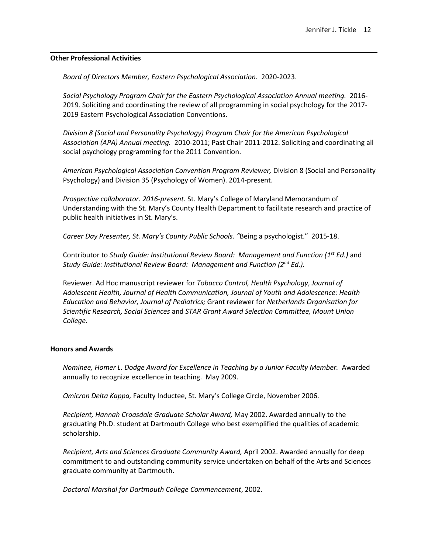#### **Other Professional Activities**

*Board of Directors Member, Eastern Psychological Association.* 2020-2023.

*Social Psychology Program Chair for the Eastern Psychological Association Annual meeting.* 2016- 2019. Soliciting and coordinating the review of all programming in social psychology for the 2017- 2019 Eastern Psychological Association Conventions.

*Division 8 (Social and Personality Psychology) Program Chair for the American Psychological Association (APA) Annual meeting.* 2010-2011; Past Chair 2011-2012. Soliciting and coordinating all social psychology programming for the 2011 Convention.

*American Psychological Association Convention Program Reviewer,* Division 8 (Social and Personality Psychology) and Division 35 (Psychology of Women). 2014-present.

*Prospective collaborator. 2016-present.* St. Mary's College of Maryland Memorandum of Understanding with the St. Mary's County Health Department to facilitate research and practice of public health initiatives in St. Mary's.

*Career Day Presenter, St. Mary's County Public Schools. "*Being a psychologist." 2015-18.

Contributor to *Study Guide: Institutional Review Board: Management and Function (1st Ed.)* and *Study Guide: Institutional Review Board: Management and Function (2nd Ed.).*

Reviewer. Ad Hoc manuscript reviewer for *Tobacco Control, Health Psychology*, *Journal of Adolescent Health, Journal of Health Communication, Journal of Youth and Adolescence: Health Education and Behavior, Journal of Pediatrics;* Grant reviewer for *Netherlands Organisation for Scientific Research, Social Sciences* and *STAR Grant Award Selection Committee, Mount Union College.*

### **Honors and Awards**

*Nominee, Homer L. Dodge Award for Excellence in Teaching by a Junior Faculty Member.* Awarded annually to recognize excellence in teaching. May 2009.

*Omicron Delta Kappa,* Faculty Inductee, St. Mary's College Circle, November 2006.

*Recipient, Hannah Croasdale Graduate Scholar Award,* May 2002. Awarded annually to the graduating Ph.D. student at Dartmouth College who best exemplified the qualities of academic scholarship.

*Recipient, Arts and Sciences Graduate Community Award,* April 2002. Awarded annually for deep commitment to and outstanding community service undertaken on behalf of the Arts and Sciences graduate community at Dartmouth.

*Doctoral Marshal for Dartmouth College Commencement*, 2002.